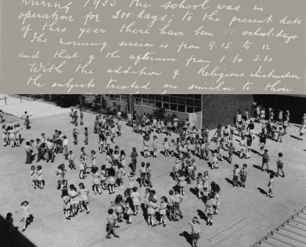Nuring 1950, the school was in operation for 200 days; to the present date of this year there have been 80 school-days. The morning session is from 9.15 to 12 and that of the apternoon from 1 to 3.30. With the addition of Religious Sustruction the subjects treated are similar to those V. R. W.  $\mathcal{F}$ 味和你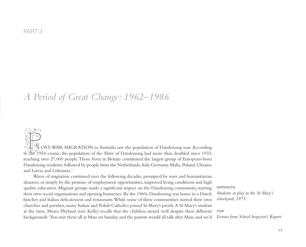# *A Period of Great Change: 1962–1986*

OST-WAR MIGRATION to Australia saw the population of Dandenong soar. According to the 1954 census, the population of the Shire of Dandenong had more than doubled since 1933, reaching over 27,000 people.Those born in Britain constituted the largest group of European-born Dandenong residents, followed by people from the Netherlands, Italy, Germany, Malta, Poland, Ukraine and Latvia and Lithuania. 1

Waves of migration continued over the following decades, prompted by wars and humanitarian disasters, or simply by the promise of employment opportunities, improved living conditions and high quality education. Migrant groups made a significant impact on the Dandenong community, starting their own social organisations and opening businesses. By the 1960s, Dandenong was home to a Dutch butcher and Italian delicatessens and restaurants.While some of these communities started their own churches and parishes, many Italian and Polish Catholics joined St Mary's parish.A St Mary's student at the time, Moira Phyland (née Kelly) recalls that the children mixed well despite their different backgrounds:'You met them all at Mass on Sunday,and the parents would all talk after Mass,and we'd

**OPPOSITE** *Students at play in the St Mary's schoolyard, 1975.*

**TOP**

*Extract from School Inspector's Report.*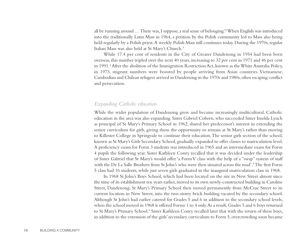all be running around …There was,I suppose,a real sense of belonging.' 2When English was introduced into the traditionally Latin Mass in 1964, a petition by the Polish community led to Mass also being held regularly by a Polish priest. A weekly Polish Mass still continues today. During the 1970s, regular Italian Mass was also held at St Mary's Church. 3

While 17.4 per cent of residents in the City of Greater Dandenong in 1954 had been born overseas,this number tripled over the next 40 years, increasing to 32 per cent in 1971 and 46 per cent in 1991.<sup>4</sup> After the abolition of the Immigration Restriction Act, known as the White Australia Policy, in 1973, migrant numbers were boosted by people arriving from Asian countries. Vietnamese, Cambodian and Chilean refugees arrived in Dandenong in the 1970s and 1980s, often escaping conflict and persecution.

### *Expanding Catholic education*

While the wider population of Dandenong grew and became increasingly multicultural, Catholic education in the area was also expanding. Sister Gabriel Cobern, who succeeded Sister Imelda Lynch as principal of St Mary's Primary School in 1962, shared her predecessor's interest in extending the senior curriculum for girls, giving them the opportunity to remain at St Mary's rather than moving to Killester College in Springvale to continue their education.The senior girls section of the school, known as St Mary's Girls Secondary School, gradually expanded to offer classes to matriculation level. A proficiency exam for Form 3 students was introduced in 1965 and an intermediate exam for Form 4 pupils the following year. Sister Kathleen Conry recalled that it was decided under the leadership of Sister Gabriel that St Mary's would offer 'a FormV class with the help of a "swap" system of staff with the De La Salle Brothers from St John's who were then situated across the road'. 5The first Form 5 class had 16 students, while just seven girls graduated in the inaugural matriculation class in 1968.

In 1968 St John's Boys School, which had been located on the site in New Street almost since the time of its establishment ten years earlier, moved to its own newly-constructed building in Caroline Street, Dandenong. St Mary's Primary School then moved permanently from McCrae Street to its current location in New Street, into the two-storey brick building vacated by the secondary school. Although St John's had earlier catered for Grades 5 and 6 in addition to the secondary school levels, when the school moved in 1968 it offered Forms 1 to 4 only.As a result,Grades 5 and 6 boys returned to St Mary's Primary School. <sup>6</sup> Sister Kathleen Conry recalled later that with the return of these boys, in addition to the extension of the girls'secondary curriculum to Form 5, overcrowding soon became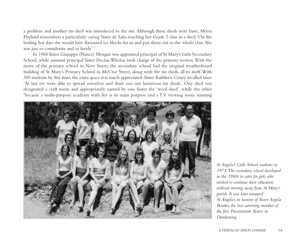a problem and another tin shed was introduced to the site.Although these sheds were basic, Moira Phyland remembers a particularly caring Sister de Sales teaching her Grade 2 class in a shed:'On the boiling hot days she would have flavoured ice blocks for us and pass them out to the whole class. She was just so considerate and so lovely'. 7

In 1968 Sister Giuseppe (Nance) Morgan was appointed principal of St Mary's Girls Secondary School, while assistant principal Sister Declan Whelan took charge of the primary section.With the move of the primary school to New Street, the secondary school had the original weatherboard building of St Mary's Primary School in McCrae Street, along with the tin sheds, all to itself.With 300 students by this time, the extra space was much appreciated. Sister Kathleen Conry recalled later: 'At last we were able to spread ourselves and share out our luxurious tin sheds'. One shed was designated a craft room and appropriately named by one Sister the 'wool-shed', while the other 'became a multi-purpose academy with Art as its main purpose and a T.V. viewing room running



*St Angela's Girls School students in 1971.The secondary school developed in the 1960s to cater for girls who wished to continue their education without moving away from St Mary's parish. It was later renamed St Angela's in honour of Sister Angela Bourke, the last surviving member of the first Presentation Sisters in Dandenong.*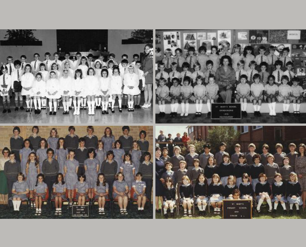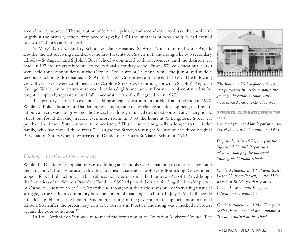second in importance'. 8The separation of St Mary's primary and secondary schools saw the enrolment of girls at the primary school drop accordingly; by 1971 the numbers of boys and girls had evened out with 220 boys and 231 girls. 9

St Mary's Girls Secondary School was later renamed St Angela's in honour of Sister Angela Bourke, the last surviving member of the first Presentation Sisters in Dandenong.The two secondary schools – St Angela's and St John's Boys School – continued to share resources, until the decision was made in 1970 to integrate into one co-educational secondary school.From 1971 co-educational classes were held for senior students at the Caroline Street site of St John's, while the junior and middle secondary school girls remained at St Angela's in McCrae Street until the end of 1973.The following year,all year levels were combined at the Caroline Street site, becoming known as St John's Regional College.While senior classes were co-educational, girls and boys in Forms 1 to 4 continued to be taught completely separately until full co-education was finally agreed to in 1977. 10

The primary school also expanded, adding an eight classroom junior block and tuckshop in 1970. While Catholic education in Dandenong was undergoing major change and development, the Presentation Convent was also growing.The Sisters had already returned to the old convent at 71 Langhorne Street, but found that they needed even more room. In 1969, the house at 75 Langhorne Street was purchased and three Sisters moved in immediately. 11This house had originally belonged to the Butler family, who had moved there from 71 Langhorne Street, vacating it for use by the three original Presentation Sisters when they arrived in Dandenong to start St Mary's School in 1912.

## *Catholic education at the crossroads*

While the Dandenong population was exploding and schools were expanding to cater for increasing demand for Catholic education, this did not mean that the schools were flourishing. Government support for Catholic schools had been almost non-existent since the Education Act of 1872. Although the formation of the Schools Provident Fund in 1956 had provided crucial funding, the broader picture of Catholic education in St Mary's parish and throughout the nation was one of increasing financial struggle,as the Catholic community bore the burden of financing its schools.In July 1961, 1500 people attended a public meeting held in Dandenong, calling on the government to support denominational schools. Soon after, the preparatory class at St Gerard's in North Dandenong was cancelled in protest against the poor conditions. 12

In 1964,Archbishop Simonds announced the formation of an EducationAdvisory Council.The



*The house at 75 Langhorne Street was purchased in 1969 to house the growing Presentation community.* Presentation Sisters of Victoria archives

#### **OPPOSITE, CLOCKWISE FROM TOP LEFT**

*Children from St Mary's parish on the day of their First Communion, 1971.*

*Prep students in 1973, the year the influential Karmel Report was released, changing the nature of funding for Catholic schools.*

*Grade 3 students in 1979 with Sister Helen Carboon (far left). Sister Helen started at St Mary's that year as Grade 3 teacher and Religious Education Co-ordinator.*

*Grade 6 students in 1981.Two years earlier Peter Slate had been appointed first lay principal of the school.*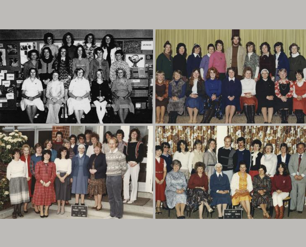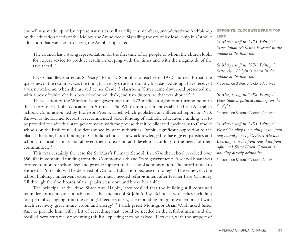council was made up of lay representatives as well as religious members,and advised the Archbishop on the education needs of the Melbourne Archdiocese. Signalling the era of lay leadership in Catholic education that was soon to begin, the Archbishop stated:

The council has a strong representation for the first time of lay people to whom the church looks for expert advice to produce results in keeping with the times and with the magnitude of the task ahead. 13

Faye Chandley started at St Mary's Primary School as a teacher in 1972 and recalls that 'the sparseness of the resources was the thing that really struck me on my first day'.Although Faye received a warm welcome, when she arrived at her Grade 3 classroom,'Sister came down and presented me with a box of white chalk, a box of coloured chalk, and two dusters, so that was about it'.<sup>14</sup>

The election of the Whitlam Labor government in 1972 marked a significant turning point in the history of Catholic education in Australia.The Whitlam government established the Australian Schools Commission, led by Professor Peter Karmel, which published an influential report in 1973. Known as the Karmel Report, it recommended block funding of Catholic education. Funding was to be provided to individual state governments with the proviso that it be allocated specifically to Catholic schools on the basis of need, as determined by state authorities. Despite significant opposition to the plan at the time, block funding of Catholic schools is now acknowledged to have given parishes and schools financial stability and allowed them to expand and develop according to the needs of their communities. 15

This was certainly the case for St Mary's Primary School. In 1974, the school received over \$56,000 in combined funding from the Commonwealth and State governments.A school board was formed to monitor school fees and provide support to the school administration.The board aimed to ensure that 'no child will be deprived of Catholic Education because of money'. 16The same year, the school buildings underwent extensive and much-needed refurbishment after teacher Faye Chandley fell through the floorboards of an upstairs classroom and broke her ankle.

The principal at the time, Sister Ann Halpin, later recalled that the building still contained reminders of its previous inhabitants – the students of St John's Boys School – with relics including 'old pen nibs dangling from the ceiling'. Needless to say,'the rebuilding program was embraced with much creativity, great future vision and energy'. <sup>17</sup> Parish priest Monsignor Brian Walsh asked Sister Ann to provide him with a list of everything that would be needed in the refurbishment and she recalled 'very tentatively presenting this list expecting it to be halved'. However, with the support of

**OPPOSITE, CLOCKWISE FROM TOP LEFT**

*St Mary's staff in 1973. Principal Sister Julian McKenna is seated in the middle of the front row.*

*St Mary's staff in 1976. Principal Sister Ann Halpin is seated in the middle of the front row.* Presentation Sisters of Victoria archives

*St Mary's staff in 1982. Principal Peter Slate is pictured standing on the far right.*

Presentation Sisters of Victoria archives

*St Mary's staff in 1983. Principal Faye Chandley is standing in the front row, second from right. Sister Macnise Dowling is in the front row, third from right, and Sister Helen Carboon is standing directly behind her.* Presentation Sisters of Victoria archives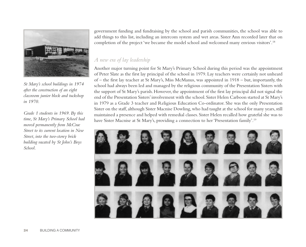

*St Mary's school buildings in 1974 after the construction of an eight classroom junior block and tuckshop in 1970.*

*Grade 1 students in 1969. By this time, St Mary's Primary School had moved permanently from McCrae Street to its current location in New Street, into the two-storey brick building vacated by St John's Boys School.*

government funding and fundraising by the school and parish communities, the school was able to add things to this list, including an intercom system and wet areas. Sister Ann recorded later that on completion of the project 'we became the model school and welcomed many envious visitors'. 18

# *A new era of lay leadership*

Another major turning point for St Mary's Primary School during this period was the appointment of Peter Slate as the first lay principal of the school in 1979. Lay teachers were certainly not unheard of – the first lay teacher at St Mary's, Miss McManus, was appointed in 1918 – but, importantly, the school had always been led and managed by the religious community of the Presentation Sisters with the support of St Mary's parish. However, the appointment of the first lay principal did not signal the end of the Presentation Sisters' involvement with the school. Sister Helen Carboon started at St Mary's in 1979 as a Grade 3 teacher and Religious Education Co-ordinator. She was the only Presentation Sister on the staff, although Sister Macnise Dowling, who had taught at the school for many years, still maintained a presence and helped with remedial classes. Sister Helen recalled how grateful she was to have Sister Macnise at St Mary's, providing a connection to her 'Presentation family'.<sup>19</sup>